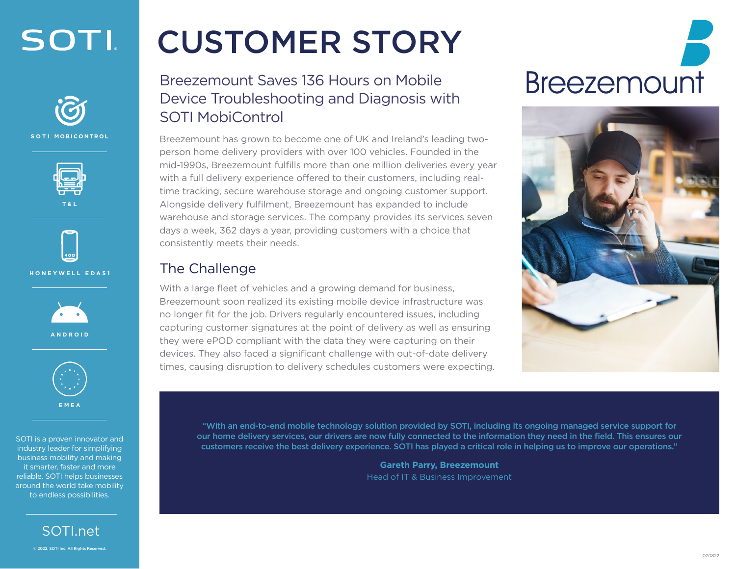



**SOTI MOBICONTROL**









SOTI is a proven innovator and industry leader for simplifying business mobility and making it smarter, faster and more reliable. SOTI helps businesses around the world take mobility to endless possibilities.

> [SOTI.net](http://soti.net)  © 2022, SOTI Inc. All Rights Reserved.

### CUSTOMER STORY

Breezemount Saves 136 Hours on Mobile Device Troubleshooting and Diagnosis with SOTI MobiControl

Breezemount has grown to become one of UK and Ireland's leading twoperson home delivery providers with over 100 vehicles. Founded in the mid-1990s, Breezemount fulfills more than one million deliveries every year with a full delivery experience offered to their customers, including realtime tracking, secure warehouse storage and ongoing customer support. Alongside delivery fulfilment, Breezemount has expanded to include warehouse and storage services. The company provides its services seven days a week, 362 days a year, providing customers with a choice that consistently meets their needs.

#### The Challenge

With a large fleet of vehicles and a growing demand for business, Breezemount soon realized its existing mobile device infrastructure was no longer fit for the job. Drivers regularly encountered issues, including capturing customer signatures at the point of delivery as well as ensuring they were ePOD compliant with the data they were capturing on their devices. They also faced a significant challenge with out-of-date delivery times, causing disruption to delivery schedules customers were expecting.

# **Breezemount**



"With an end-to-end mobile technology solution provided by SOTI, including its ongoing managed service support for our home delivery services, our drivers are now fully connected to the information they need in the field. This ensures our customers receive the best delivery experience. SOTI has played a critical role in helping us to improve our operations."

> **Gareth Parry, Breezemount**  Head of IT & Business Improvement